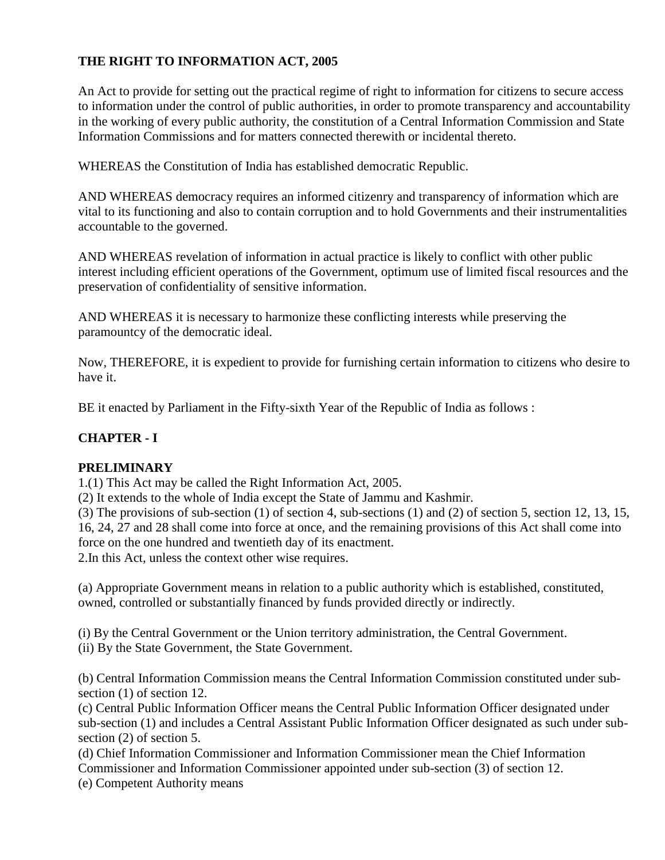## **THE RIGHT TO INFORMATION ACT, 2005**

An Act to provide for setting out the practical regime of right to information for citizens to secure access to information under the control of public authorities, in order to promote transparency and accountability in the working of every public authority, the constitution of a Central Information Commission and State Information Commissions and for matters connected therewith or incidental thereto.

WHEREAS the Constitution of India has established democratic Republic.

AND WHEREAS democracy requires an informed citizenry and transparency of information which are vital to its functioning and also to contain corruption and to hold Governments and their instrumentalities accountable to the governed.

AND WHEREAS revelation of information in actual practice is likely to conflict with other public interest including efficient operations of the Government, optimum use of limited fiscal resources and the preservation of confidentiality of sensitive information.

AND WHEREAS it is necessary to harmonize these conflicting interests while preserving the paramountcy of the democratic ideal.

Now, THEREFORE, it is expedient to provide for furnishing certain information to citizens who desire to have it.

BE it enacted by Parliament in the Fifty-sixth Year of the Republic of India as follows :

#### **CHAPTER - I**

#### **PRELIMINARY**

1.(1) This Act may be called the Right Information Act, 2005.

(2) It extends to the whole of India except the State of Jammu and Kashmir.

(3) The provisions of sub-section (1) of section 4, sub-sections (1) and (2) of section 5, section 12, 13, 15, 16, 24, 27 and 28 shall come into force at once, and the remaining provisions of this Act shall come into force on the one hundred and twentieth day of its enactment.

2.In this Act, unless the context other wise requires.

(a) Appropriate Government means in relation to a public authority which is established, constituted, owned, controlled or substantially financed by funds provided directly or indirectly.

(i) By the Central Government or the Union territory administration, the Central Government.

(ii) By the State Government, the State Government.

(b) Central Information Commission means the Central Information Commission constituted under subsection (1) of section 12.

(c) Central Public Information Officer means the Central Public Information Officer designated under sub-section (1) and includes a Central Assistant Public Information Officer designated as such under subsection (2) of section 5.

(d) Chief Information Commissioner and Information Commissioner mean the Chief Information Commissioner and Information Commissioner appointed under sub-section (3) of section 12.

(e) Competent Authority means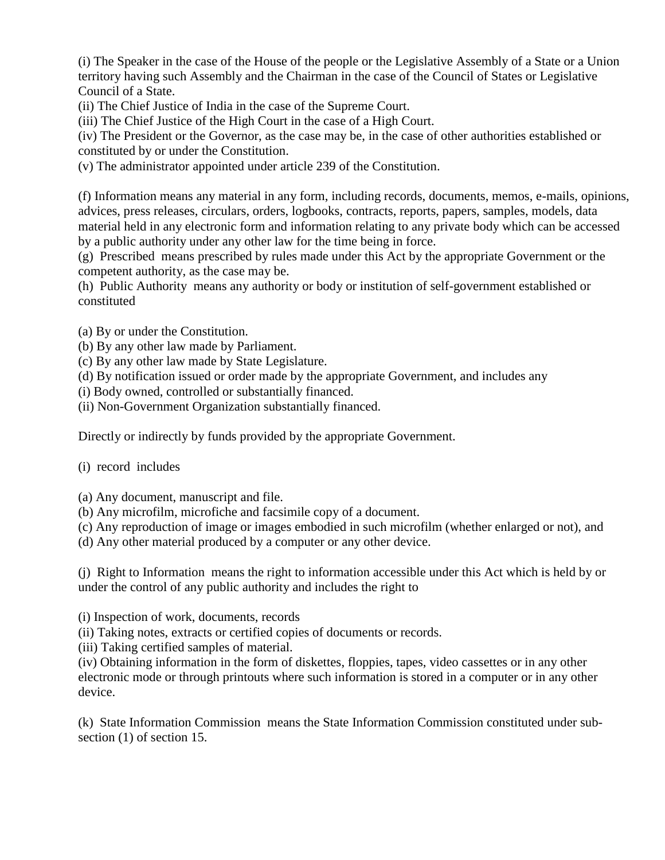(i) The Speaker in the case of the House of the people or the Legislative Assembly of a State or a Union territory having such Assembly and the Chairman in the case of the Council of States or Legislative Council of a State.

(ii) The Chief Justice of India in the case of the Supreme Court.

(iii) The Chief Justice of the High Court in the case of a High Court.

(iv) The President or the Governor, as the case may be, in the case of other authorities established or constituted by or under the Constitution.

(v) The administrator appointed under article 239 of the Constitution.

(f) Information means any material in any form, including records, documents, memos, e-mails, opinions, advices, press releases, circulars, orders, logbooks, contracts, reports, papers, samples, models, data material held in any electronic form and information relating to any private body which can be accessed by a public authority under any other law for the time being in force.

(g) Prescribed means prescribed by rules made under this Act by the appropriate Government or the competent authority, as the case may be.

(h) Public Authority means any authority or body or institution of self-government established or constituted

(a) By or under the Constitution.

(b) By any other law made by Parliament.

(c) By any other law made by State Legislature.

(d) By notification issued or order made by the appropriate Government, and includes any

(i) Body owned, controlled or substantially financed.

(ii) Non-Government Organization substantially financed.

Directly or indirectly by funds provided by the appropriate Government.

(i) record includes

(a) Any document, manuscript and file.

(b) Any microfilm, microfiche and facsimile copy of a document.

(c) Any reproduction of image or images embodied in such microfilm (whether enlarged or not), and

(d) Any other material produced by a computer or any other device.

(j) Right to Information means the right to information accessible under this Act which is held by or under the control of any public authority and includes the right to

(i) Inspection of work, documents, records

(ii) Taking notes, extracts or certified copies of documents or records.

(iii) Taking certified samples of material.

(iv) Obtaining information in the form of diskettes, floppies, tapes, video cassettes or in any other electronic mode or through printouts where such information is stored in a computer or in any other device.

(k) State Information Commission means the State Information Commission constituted under subsection (1) of section 15.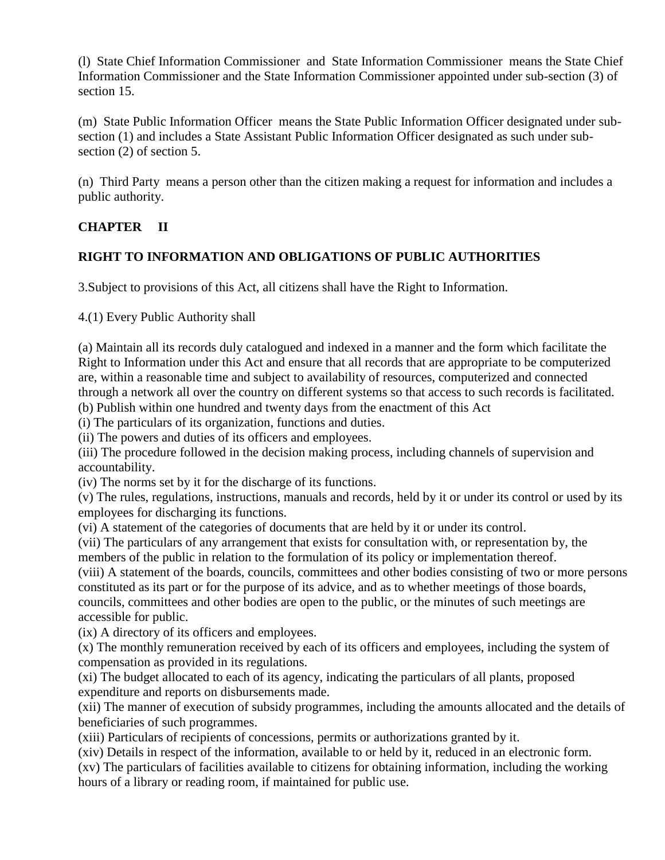(l) State Chief Information Commissioner and State Information Commissioner means the State Chief Information Commissioner and the State Information Commissioner appointed under sub-section (3) of section 15.

(m) State Public Information Officer means the State Public Information Officer designated under subsection (1) and includes a State Assistant Public Information Officer designated as such under subsection (2) of section 5.

(n) Third Party means a person other than the citizen making a request for information and includes a public authority.

# **CHAPTER II**

## **RIGHT TO INFORMATION AND OBLIGATIONS OF PUBLIC AUTHORITIES**

3.Subject to provisions of this Act, all citizens shall have the Right to Information.

4.(1) Every Public Authority shall

(a) Maintain all its records duly catalogued and indexed in a manner and the form which facilitate the Right to Information under this Act and ensure that all records that are appropriate to be computerized are, within a reasonable time and subject to availability of resources, computerized and connected through a network all over the country on different systems so that access to such records is facilitated. (b) Publish within one hundred and twenty days from the enactment of this Act

(i) The particulars of its organization, functions and duties.

(ii) The powers and duties of its officers and employees.

(iii) The procedure followed in the decision making process, including channels of supervision and accountability.

(iv) The norms set by it for the discharge of its functions.

(v) The rules, regulations, instructions, manuals and records, held by it or under its control or used by its employees for discharging its functions.

(vi) A statement of the categories of documents that are held by it or under its control.

(vii) The particulars of any arrangement that exists for consultation with, or representation by, the members of the public in relation to the formulation of its policy or implementation thereof.

(viii) A statement of the boards, councils, committees and other bodies consisting of two or more persons constituted as its part or for the purpose of its advice, and as to whether meetings of those boards, councils, committees and other bodies are open to the public, or the minutes of such meetings are accessible for public.

(ix) A directory of its officers and employees.

(x) The monthly remuneration received by each of its officers and employees, including the system of compensation as provided in its regulations.

(xi) The budget allocated to each of its agency, indicating the particulars of all plants, proposed expenditure and reports on disbursements made.

(xii) The manner of execution of subsidy programmes, including the amounts allocated and the details of beneficiaries of such programmes.

(xiii) Particulars of recipients of concessions, permits or authorizations granted by it.

(xiv) Details in respect of the information, available to or held by it, reduced in an electronic form.

(xv) The particulars of facilities available to citizens for obtaining information, including the working hours of a library or reading room, if maintained for public use.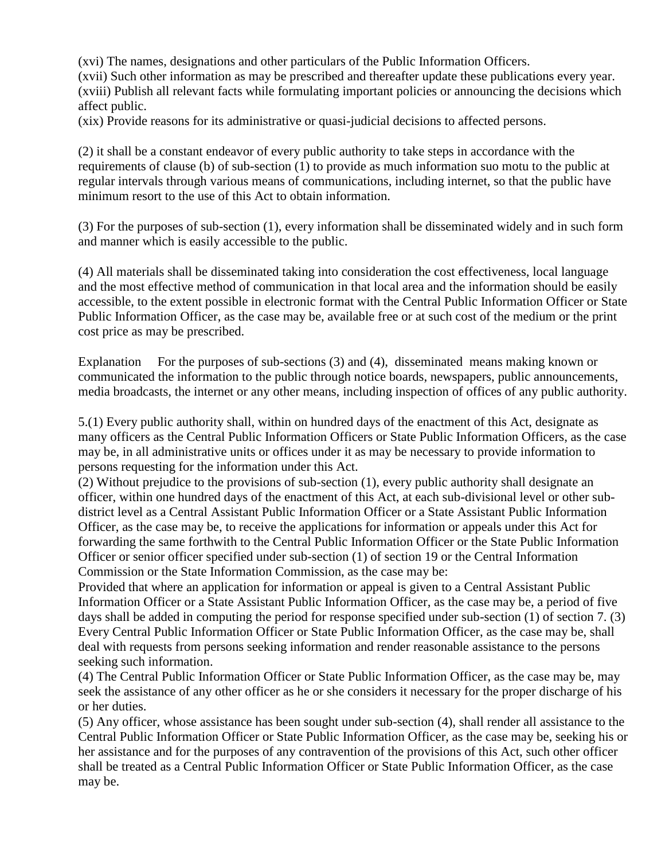(xvi) The names, designations and other particulars of the Public Information Officers.

(xvii) Such other information as may be prescribed and thereafter update these publications every year. (xviii) Publish all relevant facts while formulating important policies or announcing the decisions which affect public.

(xix) Provide reasons for its administrative or quasi-judicial decisions to affected persons.

(2) it shall be a constant endeavor of every public authority to take steps in accordance with the requirements of clause (b) of sub-section (1) to provide as much information suo motu to the public at regular intervals through various means of communications, including internet, so that the public have minimum resort to the use of this Act to obtain information.

(3) For the purposes of sub-section (1), every information shall be disseminated widely and in such form and manner which is easily accessible to the public.

(4) All materials shall be disseminated taking into consideration the cost effectiveness, local language and the most effective method of communication in that local area and the information should be easily accessible, to the extent possible in electronic format with the Central Public Information Officer or State Public Information Officer, as the case may be, available free or at such cost of the medium or the print cost price as may be prescribed.

Explanation For the purposes of sub-sections (3) and (4), disseminated means making known or communicated the information to the public through notice boards, newspapers, public announcements, media broadcasts, the internet or any other means, including inspection of offices of any public authority.

5.(1) Every public authority shall, within on hundred days of the enactment of this Act, designate as many officers as the Central Public Information Officers or State Public Information Officers, as the case may be, in all administrative units or offices under it as may be necessary to provide information to persons requesting for the information under this Act.

(2) Without prejudice to the provisions of sub-section (1), every public authority shall designate an officer, within one hundred days of the enactment of this Act, at each sub-divisional level or other subdistrict level as a Central Assistant Public Information Officer or a State Assistant Public Information Officer, as the case may be, to receive the applications for information or appeals under this Act for forwarding the same forthwith to the Central Public Information Officer or the State Public Information Officer or senior officer specified under sub-section (1) of section 19 or the Central Information Commission or the State Information Commission, as the case may be:

Provided that where an application for information or appeal is given to a Central Assistant Public Information Officer or a State Assistant Public Information Officer, as the case may be, a period of five days shall be added in computing the period for response specified under sub-section (1) of section 7. (3) Every Central Public Information Officer or State Public Information Officer, as the case may be, shall deal with requests from persons seeking information and render reasonable assistance to the persons seeking such information.

(4) The Central Public Information Officer or State Public Information Officer, as the case may be, may seek the assistance of any other officer as he or she considers it necessary for the proper discharge of his or her duties.

(5) Any officer, whose assistance has been sought under sub-section (4), shall render all assistance to the Central Public Information Officer or State Public Information Officer, as the case may be, seeking his or her assistance and for the purposes of any contravention of the provisions of this Act, such other officer shall be treated as a Central Public Information Officer or State Public Information Officer, as the case may be.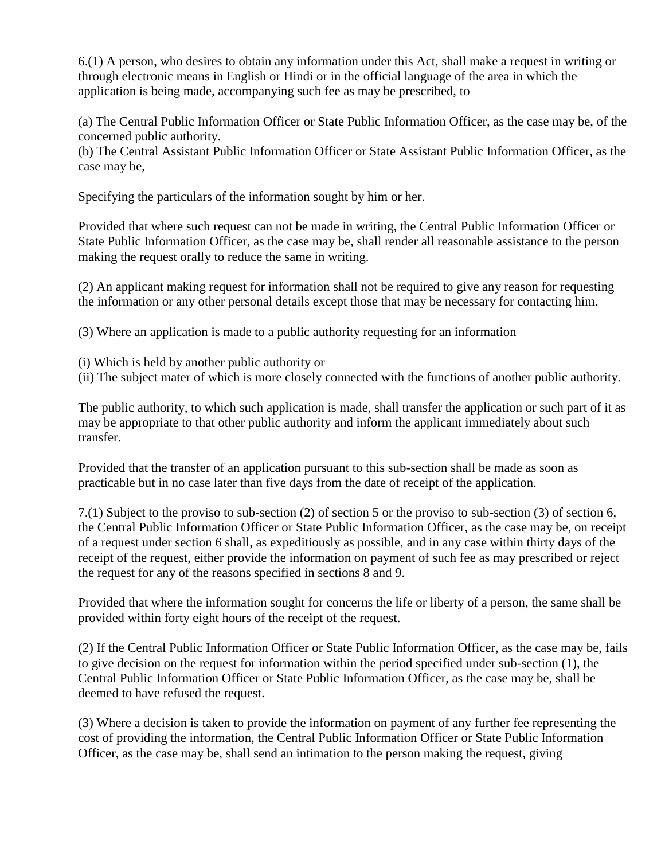6.(1) A person, who desires to obtain any information under this Act, shall make a request in writing or through electronic means in English or Hindi or in the official language of the area in which the application is being made, accompanying such fee as may be prescribed, to

(a) The Central Public Information Officer or State Public Information Officer, as the case may be, of the concerned public authority.

(b) The Central Assistant Public Information Officer or State Assistant Public Information Officer, as the case may be,

Specifying the particulars of the information sought by him or her.

Provided that where such request can not be made in writing, the Central Public Information Officer or State Public Information Officer, as the case may be, shall render all reasonable assistance to the person making the request orally to reduce the same in writing.

(2) An applicant making request for information shall not be required to give any reason for requesting the information or any other personal details except those that may be necessary for contacting him.

(3) Where an application is made to a public authority requesting for an information

- (i) Which is held by another public authority or
- (ii) The subject mater of which is more closely connected with the functions of another public authority.

The public authority, to which such application is made, shall transfer the application or such part of it as may be appropriate to that other public authority and inform the applicant immediately about such transfer.

Provided that the transfer of an application pursuant to this sub-section shall be made as soon as practicable but in no case later than five days from the date of receipt of the application.

7.(1) Subject to the proviso to sub-section (2) of section 5 or the proviso to sub-section (3) of section 6, the Central Public Information Officer or State Public Information Officer, as the case may be, on receipt of a request under section 6 shall, as expeditiously as possible, and in any case within thirty days of the receipt of the request, either provide the information on payment of such fee as may prescribed or reject the request for any of the reasons specified in sections 8 and 9.

Provided that where the information sought for concerns the life or liberty of a person, the same shall be provided within forty eight hours of the receipt of the request.

(2) If the Central Public Information Officer or State Public Information Officer, as the case may be, fails to give decision on the request for information within the period specified under sub-section (1), the Central Public Information Officer or State Public Information Officer, as the case may be, shall be deemed to have refused the request.

(3) Where a decision is taken to provide the information on payment of any further fee representing the cost of providing the information, the Central Public Information Officer or State Public Information Officer, as the case may be, shall send an intimation to the person making the request, giving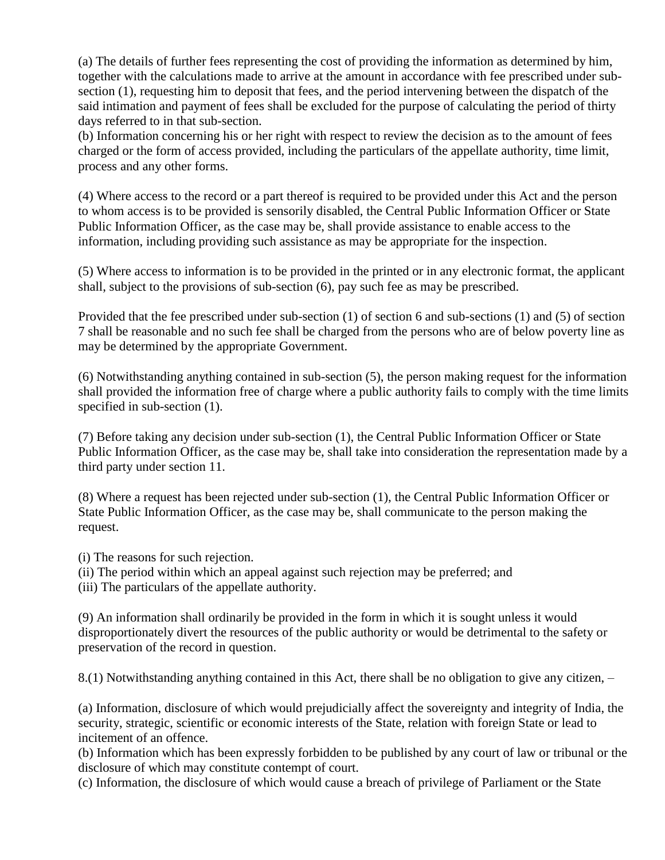(a) The details of further fees representing the cost of providing the information as determined by him, together with the calculations made to arrive at the amount in accordance with fee prescribed under subsection (1), requesting him to deposit that fees, and the period intervening between the dispatch of the said intimation and payment of fees shall be excluded for the purpose of calculating the period of thirty days referred to in that sub-section.

(b) Information concerning his or her right with respect to review the decision as to the amount of fees charged or the form of access provided, including the particulars of the appellate authority, time limit, process and any other forms.

(4) Where access to the record or a part thereof is required to be provided under this Act and the person to whom access is to be provided is sensorily disabled, the Central Public Information Officer or State Public Information Officer, as the case may be, shall provide assistance to enable access to the information, including providing such assistance as may be appropriate for the inspection.

(5) Where access to information is to be provided in the printed or in any electronic format, the applicant shall, subject to the provisions of sub-section (6), pay such fee as may be prescribed.

Provided that the fee prescribed under sub-section (1) of section 6 and sub-sections (1) and (5) of section 7 shall be reasonable and no such fee shall be charged from the persons who are of below poverty line as may be determined by the appropriate Government.

(6) Notwithstanding anything contained in sub-section (5), the person making request for the information shall provided the information free of charge where a public authority fails to comply with the time limits specified in sub-section  $(1)$ .

(7) Before taking any decision under sub-section (1), the Central Public Information Officer or State Public Information Officer, as the case may be, shall take into consideration the representation made by a third party under section 11.

(8) Where a request has been rejected under sub-section (1), the Central Public Information Officer or State Public Information Officer, as the case may be, shall communicate to the person making the request.

(i) The reasons for such rejection.

(ii) The period within which an appeal against such rejection may be preferred; and

(iii) The particulars of the appellate authority.

(9) An information shall ordinarily be provided in the form in which it is sought unless it would disproportionately divert the resources of the public authority or would be detrimental to the safety or preservation of the record in question.

8.(1) Notwithstanding anything contained in this Act, there shall be no obligation to give any citizen, –

(a) Information, disclosure of which would prejudicially affect the sovereignty and integrity of India, the security, strategic, scientific or economic interests of the State, relation with foreign State or lead to incitement of an offence.

(b) Information which has been expressly forbidden to be published by any court of law or tribunal or the disclosure of which may constitute contempt of court.

(c) Information, the disclosure of which would cause a breach of privilege of Parliament or the State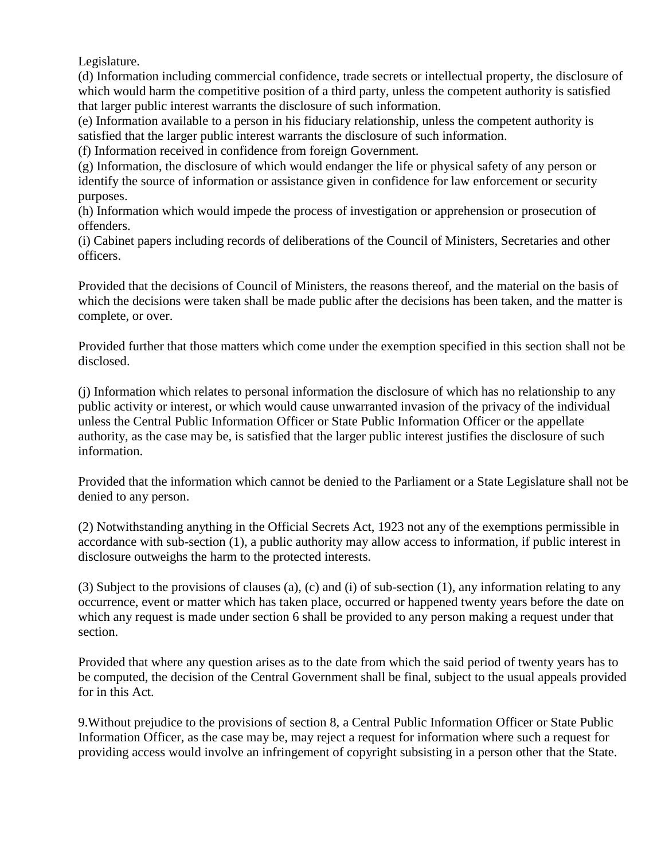Legislature.

(d) Information including commercial confidence, trade secrets or intellectual property, the disclosure of which would harm the competitive position of a third party, unless the competent authority is satisfied that larger public interest warrants the disclosure of such information.

(e) Information available to a person in his fiduciary relationship, unless the competent authority is satisfied that the larger public interest warrants the disclosure of such information.

(f) Information received in confidence from foreign Government.

(g) Information, the disclosure of which would endanger the life or physical safety of any person or identify the source of information or assistance given in confidence for law enforcement or security purposes.

(h) Information which would impede the process of investigation or apprehension or prosecution of offenders.

(i) Cabinet papers including records of deliberations of the Council of Ministers, Secretaries and other officers.

Provided that the decisions of Council of Ministers, the reasons thereof, and the material on the basis of which the decisions were taken shall be made public after the decisions has been taken, and the matter is complete, or over.

Provided further that those matters which come under the exemption specified in this section shall not be disclosed.

(j) Information which relates to personal information the disclosure of which has no relationship to any public activity or interest, or which would cause unwarranted invasion of the privacy of the individual unless the Central Public Information Officer or State Public Information Officer or the appellate authority, as the case may be, is satisfied that the larger public interest justifies the disclosure of such information.

Provided that the information which cannot be denied to the Parliament or a State Legislature shall not be denied to any person.

(2) Notwithstanding anything in the Official Secrets Act, 1923 not any of the exemptions permissible in accordance with sub-section (1), a public authority may allow access to information, if public interest in disclosure outweighs the harm to the protected interests.

(3) Subject to the provisions of clauses (a), (c) and (i) of sub-section (1), any information relating to any occurrence, event or matter which has taken place, occurred or happened twenty years before the date on which any request is made under section 6 shall be provided to any person making a request under that section.

Provided that where any question arises as to the date from which the said period of twenty years has to be computed, the decision of the Central Government shall be final, subject to the usual appeals provided for in this Act.

9.Without prejudice to the provisions of section 8, a Central Public Information Officer or State Public Information Officer, as the case may be, may reject a request for information where such a request for providing access would involve an infringement of copyright subsisting in a person other that the State.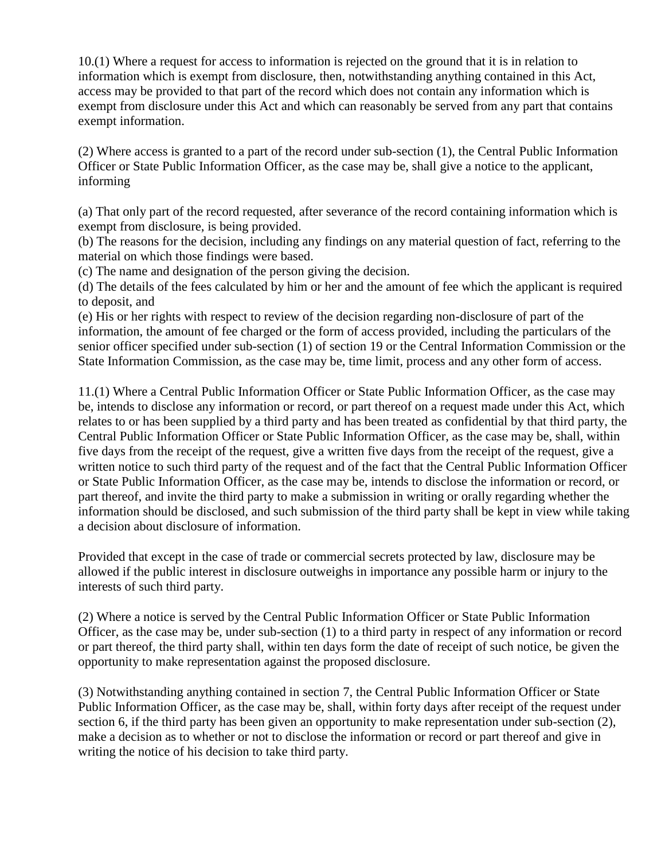10.(1) Where a request for access to information is rejected on the ground that it is in relation to information which is exempt from disclosure, then, notwithstanding anything contained in this Act, access may be provided to that part of the record which does not contain any information which is exempt from disclosure under this Act and which can reasonably be served from any part that contains exempt information.

(2) Where access is granted to a part of the record under sub-section (1), the Central Public Information Officer or State Public Information Officer, as the case may be, shall give a notice to the applicant, informing

(a) That only part of the record requested, after severance of the record containing information which is exempt from disclosure, is being provided.

(b) The reasons for the decision, including any findings on any material question of fact, referring to the material on which those findings were based.

(c) The name and designation of the person giving the decision.

(d) The details of the fees calculated by him or her and the amount of fee which the applicant is required to deposit, and

(e) His or her rights with respect to review of the decision regarding non-disclosure of part of the information, the amount of fee charged or the form of access provided, including the particulars of the senior officer specified under sub-section (1) of section 19 or the Central Information Commission or the State Information Commission, as the case may be, time limit, process and any other form of access.

11.(1) Where a Central Public Information Officer or State Public Information Officer, as the case may be, intends to disclose any information or record, or part thereof on a request made under this Act, which relates to or has been supplied by a third party and has been treated as confidential by that third party, the Central Public Information Officer or State Public Information Officer, as the case may be, shall, within five days from the receipt of the request, give a written five days from the receipt of the request, give a written notice to such third party of the request and of the fact that the Central Public Information Officer or State Public Information Officer, as the case may be, intends to disclose the information or record, or part thereof, and invite the third party to make a submission in writing or orally regarding whether the information should be disclosed, and such submission of the third party shall be kept in view while taking a decision about disclosure of information.

Provided that except in the case of trade or commercial secrets protected by law, disclosure may be allowed if the public interest in disclosure outweighs in importance any possible harm or injury to the interests of such third party.

(2) Where a notice is served by the Central Public Information Officer or State Public Information Officer, as the case may be, under sub-section (1) to a third party in respect of any information or record or part thereof, the third party shall, within ten days form the date of receipt of such notice, be given the opportunity to make representation against the proposed disclosure.

(3) Notwithstanding anything contained in section 7, the Central Public Information Officer or State Public Information Officer, as the case may be, shall, within forty days after receipt of the request under section 6, if the third party has been given an opportunity to make representation under sub-section (2), make a decision as to whether or not to disclose the information or record or part thereof and give in writing the notice of his decision to take third party.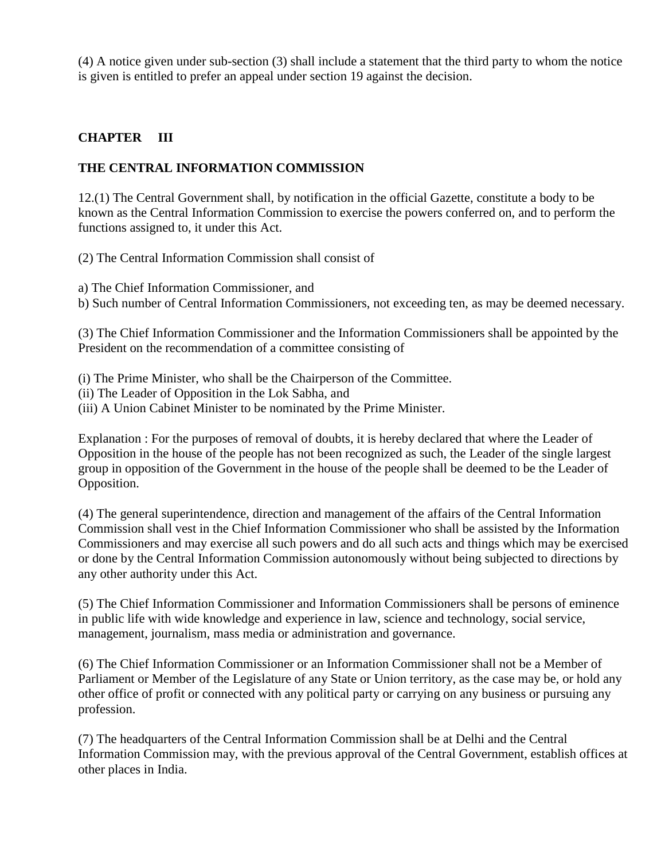(4) A notice given under sub-section (3) shall include a statement that the third party to whom the notice is given is entitled to prefer an appeal under section 19 against the decision.

#### **CHAPTER III**

#### **THE CENTRAL INFORMATION COMMISSION**

12.(1) The Central Government shall, by notification in the official Gazette, constitute a body to be known as the Central Information Commission to exercise the powers conferred on, and to perform the functions assigned to, it under this Act.

(2) The Central Information Commission shall consist of

a) The Chief Information Commissioner, and

b) Such number of Central Information Commissioners, not exceeding ten, as may be deemed necessary.

(3) The Chief Information Commissioner and the Information Commissioners shall be appointed by the President on the recommendation of a committee consisting of

(i) The Prime Minister, who shall be the Chairperson of the Committee.

- (ii) The Leader of Opposition in the Lok Sabha, and
- (iii) A Union Cabinet Minister to be nominated by the Prime Minister.

Explanation : For the purposes of removal of doubts, it is hereby declared that where the Leader of Opposition in the house of the people has not been recognized as such, the Leader of the single largest group in opposition of the Government in the house of the people shall be deemed to be the Leader of Opposition.

(4) The general superintendence, direction and management of the affairs of the Central Information Commission shall vest in the Chief Information Commissioner who shall be assisted by the Information Commissioners and may exercise all such powers and do all such acts and things which may be exercised or done by the Central Information Commission autonomously without being subjected to directions by any other authority under this Act.

(5) The Chief Information Commissioner and Information Commissioners shall be persons of eminence in public life with wide knowledge and experience in law, science and technology, social service, management, journalism, mass media or administration and governance.

(6) The Chief Information Commissioner or an Information Commissioner shall not be a Member of Parliament or Member of the Legislature of any State or Union territory, as the case may be, or hold any other office of profit or connected with any political party or carrying on any business or pursuing any profession.

(7) The headquarters of the Central Information Commission shall be at Delhi and the Central Information Commission may, with the previous approval of the Central Government, establish offices at other places in India.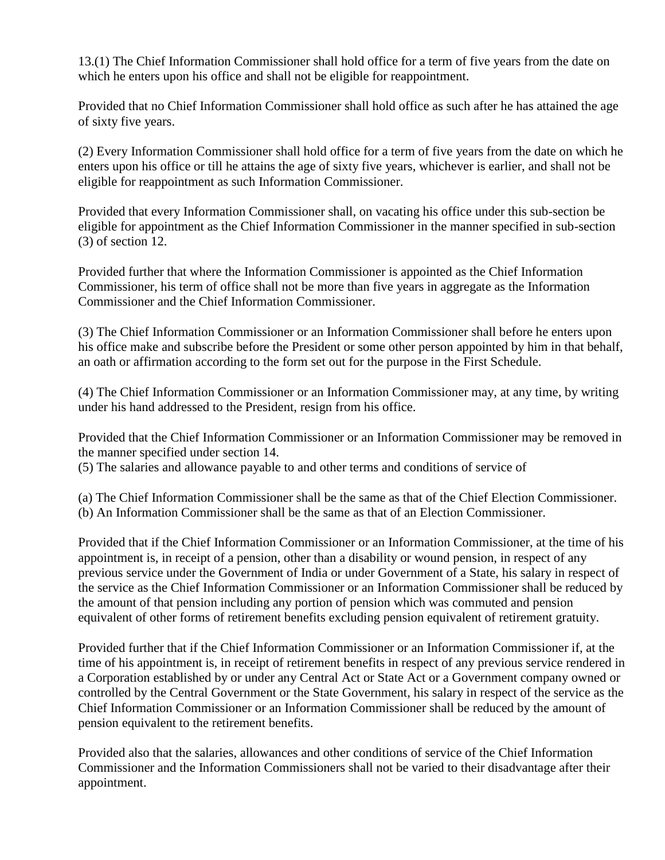13.(1) The Chief Information Commissioner shall hold office for a term of five years from the date on which he enters upon his office and shall not be eligible for reappointment.

Provided that no Chief Information Commissioner shall hold office as such after he has attained the age of sixty five years.

(2) Every Information Commissioner shall hold office for a term of five years from the date on which he enters upon his office or till he attains the age of sixty five years, whichever is earlier, and shall not be eligible for reappointment as such Information Commissioner.

Provided that every Information Commissioner shall, on vacating his office under this sub-section be eligible for appointment as the Chief Information Commissioner in the manner specified in sub-section (3) of section 12.

Provided further that where the Information Commissioner is appointed as the Chief Information Commissioner, his term of office shall not be more than five years in aggregate as the Information Commissioner and the Chief Information Commissioner.

(3) The Chief Information Commissioner or an Information Commissioner shall before he enters upon his office make and subscribe before the President or some other person appointed by him in that behalf, an oath or affirmation according to the form set out for the purpose in the First Schedule.

(4) The Chief Information Commissioner or an Information Commissioner may, at any time, by writing under his hand addressed to the President, resign from his office.

Provided that the Chief Information Commissioner or an Information Commissioner may be removed in the manner specified under section 14.

(5) The salaries and allowance payable to and other terms and conditions of service of

(a) The Chief Information Commissioner shall be the same as that of the Chief Election Commissioner. (b) An Information Commissioner shall be the same as that of an Election Commissioner.

Provided that if the Chief Information Commissioner or an Information Commissioner, at the time of his appointment is, in receipt of a pension, other than a disability or wound pension, in respect of any previous service under the Government of India or under Government of a State, his salary in respect of the service as the Chief Information Commissioner or an Information Commissioner shall be reduced by the amount of that pension including any portion of pension which was commuted and pension equivalent of other forms of retirement benefits excluding pension equivalent of retirement gratuity.

Provided further that if the Chief Information Commissioner or an Information Commissioner if, at the time of his appointment is, in receipt of retirement benefits in respect of any previous service rendered in a Corporation established by or under any Central Act or State Act or a Government company owned or controlled by the Central Government or the State Government, his salary in respect of the service as the Chief Information Commissioner or an Information Commissioner shall be reduced by the amount of pension equivalent to the retirement benefits.

Provided also that the salaries, allowances and other conditions of service of the Chief Information Commissioner and the Information Commissioners shall not be varied to their disadvantage after their appointment.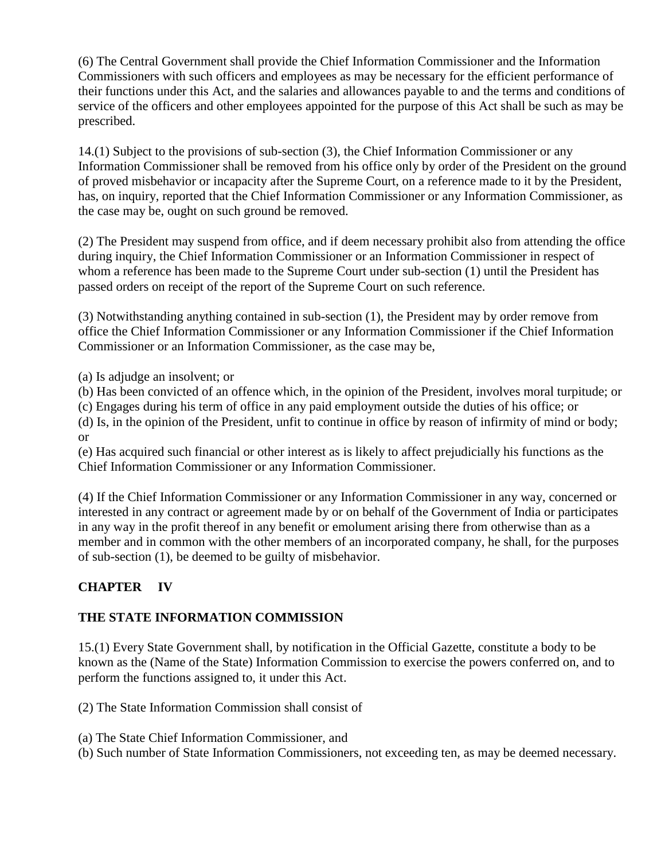(6) The Central Government shall provide the Chief Information Commissioner and the Information Commissioners with such officers and employees as may be necessary for the efficient performance of their functions under this Act, and the salaries and allowances payable to and the terms and conditions of service of the officers and other employees appointed for the purpose of this Act shall be such as may be prescribed.

14.(1) Subject to the provisions of sub-section (3), the Chief Information Commissioner or any Information Commissioner shall be removed from his office only by order of the President on the ground of proved misbehavior or incapacity after the Supreme Court, on a reference made to it by the President, has, on inquiry, reported that the Chief Information Commissioner or any Information Commissioner, as the case may be, ought on such ground be removed.

(2) The President may suspend from office, and if deem necessary prohibit also from attending the office during inquiry, the Chief Information Commissioner or an Information Commissioner in respect of whom a reference has been made to the Supreme Court under sub-section (1) until the President has passed orders on receipt of the report of the Supreme Court on such reference.

(3) Notwithstanding anything contained in sub-section (1), the President may by order remove from office the Chief Information Commissioner or any Information Commissioner if the Chief Information Commissioner or an Information Commissioner, as the case may be,

(a) Is adjudge an insolvent; or

(b) Has been convicted of an offence which, in the opinion of the President, involves moral turpitude; or

(c) Engages during his term of office in any paid employment outside the duties of his office; or

(d) Is, in the opinion of the President, unfit to continue in office by reason of infirmity of mind or body; or

(e) Has acquired such financial or other interest as is likely to affect prejudicially his functions as the Chief Information Commissioner or any Information Commissioner.

(4) If the Chief Information Commissioner or any Information Commissioner in any way, concerned or interested in any contract or agreement made by or on behalf of the Government of India or participates in any way in the profit thereof in any benefit or emolument arising there from otherwise than as a member and in common with the other members of an incorporated company, he shall, for the purposes of sub-section (1), be deemed to be guilty of misbehavior.

# **CHAPTER IV**

## **THE STATE INFORMATION COMMISSION**

15.(1) Every State Government shall, by notification in the Official Gazette, constitute a body to be known as the (Name of the State) Information Commission to exercise the powers conferred on, and to perform the functions assigned to, it under this Act.

(2) The State Information Commission shall consist of

(a) The State Chief Information Commissioner, and

(b) Such number of State Information Commissioners, not exceeding ten, as may be deemed necessary.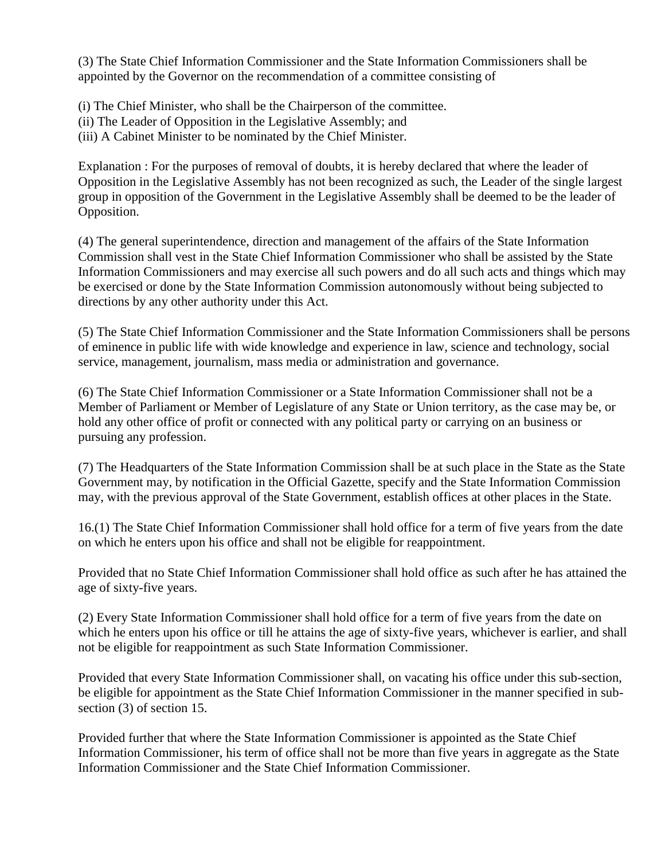(3) The State Chief Information Commissioner and the State Information Commissioners shall be appointed by the Governor on the recommendation of a committee consisting of

- (i) The Chief Minister, who shall be the Chairperson of the committee.
- (ii) The Leader of Opposition in the Legislative Assembly; and

(iii) A Cabinet Minister to be nominated by the Chief Minister.

Explanation : For the purposes of removal of doubts, it is hereby declared that where the leader of Opposition in the Legislative Assembly has not been recognized as such, the Leader of the single largest group in opposition of the Government in the Legislative Assembly shall be deemed to be the leader of Opposition.

(4) The general superintendence, direction and management of the affairs of the State Information Commission shall vest in the State Chief Information Commissioner who shall be assisted by the State Information Commissioners and may exercise all such powers and do all such acts and things which may be exercised or done by the State Information Commission autonomously without being subjected to directions by any other authority under this Act.

(5) The State Chief Information Commissioner and the State Information Commissioners shall be persons of eminence in public life with wide knowledge and experience in law, science and technology, social service, management, journalism, mass media or administration and governance.

(6) The State Chief Information Commissioner or a State Information Commissioner shall not be a Member of Parliament or Member of Legislature of any State or Union territory, as the case may be, or hold any other office of profit or connected with any political party or carrying on an business or pursuing any profession.

(7) The Headquarters of the State Information Commission shall be at such place in the State as the State Government may, by notification in the Official Gazette, specify and the State Information Commission may, with the previous approval of the State Government, establish offices at other places in the State.

16.(1) The State Chief Information Commissioner shall hold office for a term of five years from the date on which he enters upon his office and shall not be eligible for reappointment.

Provided that no State Chief Information Commissioner shall hold office as such after he has attained the age of sixty-five years.

(2) Every State Information Commissioner shall hold office for a term of five years from the date on which he enters upon his office or till he attains the age of sixty-five years, whichever is earlier, and shall not be eligible for reappointment as such State Information Commissioner.

Provided that every State Information Commissioner shall, on vacating his office under this sub-section, be eligible for appointment as the State Chief Information Commissioner in the manner specified in subsection (3) of section 15.

Provided further that where the State Information Commissioner is appointed as the State Chief Information Commissioner, his term of office shall not be more than five years in aggregate as the State Information Commissioner and the State Chief Information Commissioner.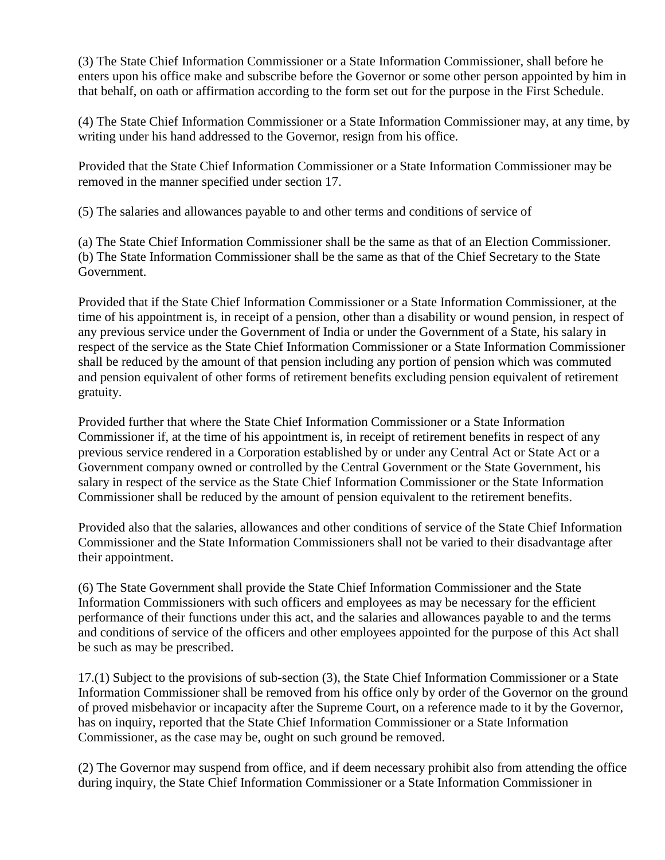(3) The State Chief Information Commissioner or a State Information Commissioner, shall before he enters upon his office make and subscribe before the Governor or some other person appointed by him in that behalf, on oath or affirmation according to the form set out for the purpose in the First Schedule.

(4) The State Chief Information Commissioner or a State Information Commissioner may, at any time, by writing under his hand addressed to the Governor, resign from his office.

Provided that the State Chief Information Commissioner or a State Information Commissioner may be removed in the manner specified under section 17.

(5) The salaries and allowances payable to and other terms and conditions of service of

(a) The State Chief Information Commissioner shall be the same as that of an Election Commissioner. (b) The State Information Commissioner shall be the same as that of the Chief Secretary to the State Government.

Provided that if the State Chief Information Commissioner or a State Information Commissioner, at the time of his appointment is, in receipt of a pension, other than a disability or wound pension, in respect of any previous service under the Government of India or under the Government of a State, his salary in respect of the service as the State Chief Information Commissioner or a State Information Commissioner shall be reduced by the amount of that pension including any portion of pension which was commuted and pension equivalent of other forms of retirement benefits excluding pension equivalent of retirement gratuity.

Provided further that where the State Chief Information Commissioner or a State Information Commissioner if, at the time of his appointment is, in receipt of retirement benefits in respect of any previous service rendered in a Corporation established by or under any Central Act or State Act or a Government company owned or controlled by the Central Government or the State Government, his salary in respect of the service as the State Chief Information Commissioner or the State Information Commissioner shall be reduced by the amount of pension equivalent to the retirement benefits.

Provided also that the salaries, allowances and other conditions of service of the State Chief Information Commissioner and the State Information Commissioners shall not be varied to their disadvantage after their appointment.

(6) The State Government shall provide the State Chief Information Commissioner and the State Information Commissioners with such officers and employees as may be necessary for the efficient performance of their functions under this act, and the salaries and allowances payable to and the terms and conditions of service of the officers and other employees appointed for the purpose of this Act shall be such as may be prescribed.

17.(1) Subject to the provisions of sub-section (3), the State Chief Information Commissioner or a State Information Commissioner shall be removed from his office only by order of the Governor on the ground of proved misbehavior or incapacity after the Supreme Court, on a reference made to it by the Governor, has on inquiry, reported that the State Chief Information Commissioner or a State Information Commissioner, as the case may be, ought on such ground be removed.

(2) The Governor may suspend from office, and if deem necessary prohibit also from attending the office during inquiry, the State Chief Information Commissioner or a State Information Commissioner in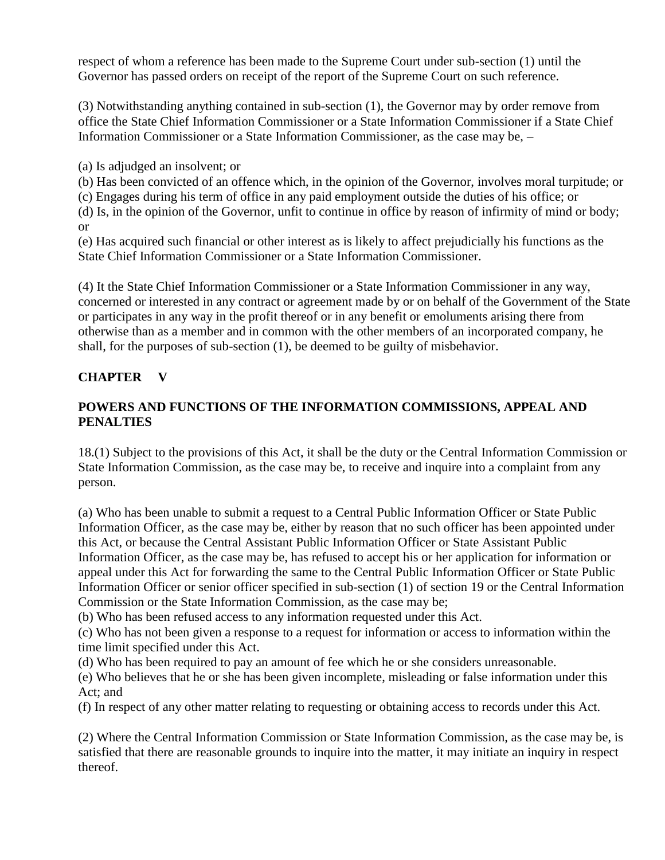respect of whom a reference has been made to the Supreme Court under sub-section (1) until the Governor has passed orders on receipt of the report of the Supreme Court on such reference.

(3) Notwithstanding anything contained in sub-section (1), the Governor may by order remove from office the State Chief Information Commissioner or a State Information Commissioner if a State Chief Information Commissioner or a State Information Commissioner, as the case may be, –

(a) Is adjudged an insolvent; or

(b) Has been convicted of an offence which, in the opinion of the Governor, involves moral turpitude; or

(c) Engages during his term of office in any paid employment outside the duties of his office; or

(d) Is, in the opinion of the Governor, unfit to continue in office by reason of infirmity of mind or body; or

(e) Has acquired such financial or other interest as is likely to affect prejudicially his functions as the State Chief Information Commissioner or a State Information Commissioner.

(4) It the State Chief Information Commissioner or a State Information Commissioner in any way, concerned or interested in any contract or agreement made by or on behalf of the Government of the State or participates in any way in the profit thereof or in any benefit or emoluments arising there from otherwise than as a member and in common with the other members of an incorporated company, he shall, for the purposes of sub-section (1), be deemed to be guilty of misbehavior.

# **CHAPTER V**

## **POWERS AND FUNCTIONS OF THE INFORMATION COMMISSIONS, APPEAL AND PENALTIES**

18.(1) Subject to the provisions of this Act, it shall be the duty or the Central Information Commission or State Information Commission, as the case may be, to receive and inquire into a complaint from any person.

(a) Who has been unable to submit a request to a Central Public Information Officer or State Public Information Officer, as the case may be, either by reason that no such officer has been appointed under this Act, or because the Central Assistant Public Information Officer or State Assistant Public Information Officer, as the case may be, has refused to accept his or her application for information or appeal under this Act for forwarding the same to the Central Public Information Officer or State Public Information Officer or senior officer specified in sub-section (1) of section 19 or the Central Information Commission or the State Information Commission, as the case may be;

(b) Who has been refused access to any information requested under this Act.

(c) Who has not been given a response to a request for information or access to information within the time limit specified under this Act.

(d) Who has been required to pay an amount of fee which he or she considers unreasonable.

(e) Who believes that he or she has been given incomplete, misleading or false information under this Act; and

(f) In respect of any other matter relating to requesting or obtaining access to records under this Act.

(2) Where the Central Information Commission or State Information Commission, as the case may be, is satisfied that there are reasonable grounds to inquire into the matter, it may initiate an inquiry in respect thereof.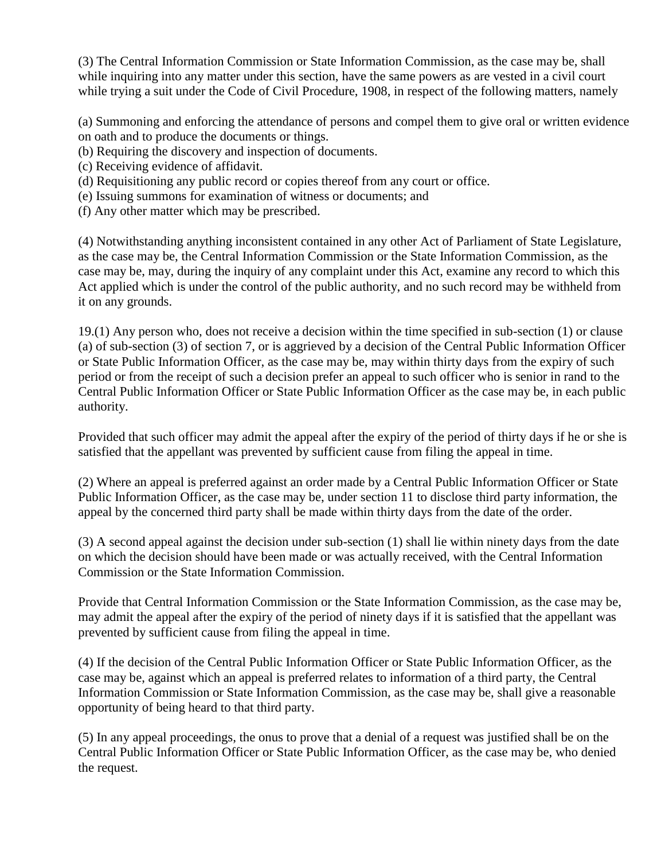(3) The Central Information Commission or State Information Commission, as the case may be, shall while inquiring into any matter under this section, have the same powers as are vested in a civil court while trying a suit under the Code of Civil Procedure, 1908, in respect of the following matters, namely

(a) Summoning and enforcing the attendance of persons and compel them to give oral or written evidence on oath and to produce the documents or things.

- (b) Requiring the discovery and inspection of documents.
- (c) Receiving evidence of affidavit.
- (d) Requisitioning any public record or copies thereof from any court or office.
- (e) Issuing summons for examination of witness or documents; and
- (f) Any other matter which may be prescribed.

(4) Notwithstanding anything inconsistent contained in any other Act of Parliament of State Legislature, as the case may be, the Central Information Commission or the State Information Commission, as the case may be, may, during the inquiry of any complaint under this Act, examine any record to which this Act applied which is under the control of the public authority, and no such record may be withheld from it on any grounds.

19.(1) Any person who, does not receive a decision within the time specified in sub-section (1) or clause (a) of sub-section (3) of section 7, or is aggrieved by a decision of the Central Public Information Officer or State Public Information Officer, as the case may be, may within thirty days from the expiry of such period or from the receipt of such a decision prefer an appeal to such officer who is senior in rand to the Central Public Information Officer or State Public Information Officer as the case may be, in each public authority.

Provided that such officer may admit the appeal after the expiry of the period of thirty days if he or she is satisfied that the appellant was prevented by sufficient cause from filing the appeal in time.

(2) Where an appeal is preferred against an order made by a Central Public Information Officer or State Public Information Officer, as the case may be, under section 11 to disclose third party information, the appeal by the concerned third party shall be made within thirty days from the date of the order.

(3) A second appeal against the decision under sub-section (1) shall lie within ninety days from the date on which the decision should have been made or was actually received, with the Central Information Commission or the State Information Commission.

Provide that Central Information Commission or the State Information Commission, as the case may be, may admit the appeal after the expiry of the period of ninety days if it is satisfied that the appellant was prevented by sufficient cause from filing the appeal in time.

(4) If the decision of the Central Public Information Officer or State Public Information Officer, as the case may be, against which an appeal is preferred relates to information of a third party, the Central Information Commission or State Information Commission, as the case may be, shall give a reasonable opportunity of being heard to that third party.

(5) In any appeal proceedings, the onus to prove that a denial of a request was justified shall be on the Central Public Information Officer or State Public Information Officer, as the case may be, who denied the request.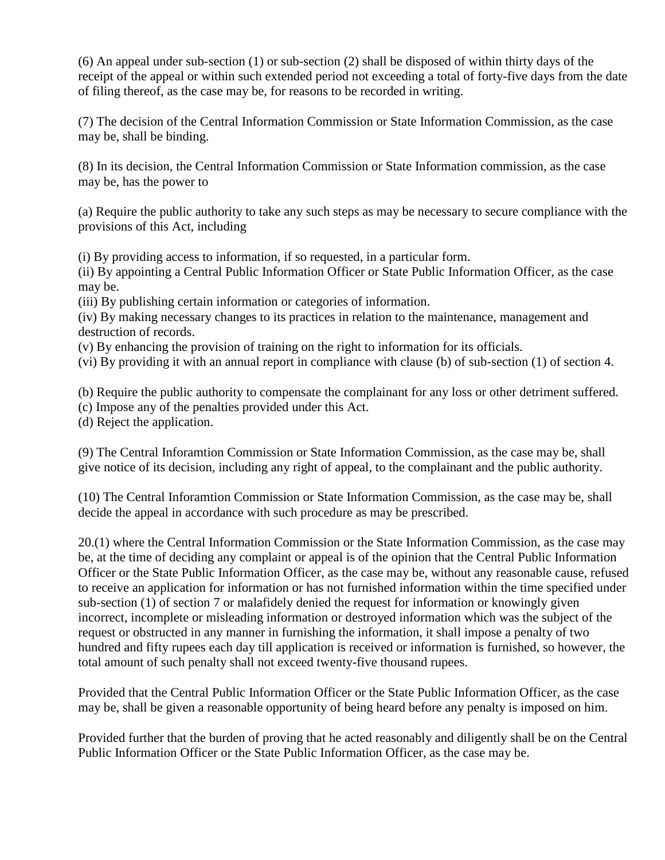(6) An appeal under sub-section (1) or sub-section (2) shall be disposed of within thirty days of the receipt of the appeal or within such extended period not exceeding a total of forty-five days from the date of filing thereof, as the case may be, for reasons to be recorded in writing.

(7) The decision of the Central Information Commission or State Information Commission, as the case may be, shall be binding.

(8) In its decision, the Central Information Commission or State Information commission, as the case may be, has the power to

(a) Require the public authority to take any such steps as may be necessary to secure compliance with the provisions of this Act, including

(i) By providing access to information, if so requested, in a particular form.

(ii) By appointing a Central Public Information Officer or State Public Information Officer, as the case may be.

(iii) By publishing certain information or categories of information.

(iv) By making necessary changes to its practices in relation to the maintenance, management and destruction of records.

(v) By enhancing the provision of training on the right to information for its officials.

(vi) By providing it with an annual report in compliance with clause (b) of sub-section (1) of section 4.

(b) Require the public authority to compensate the complainant for any loss or other detriment suffered.

(c) Impose any of the penalties provided under this Act.

(d) Reject the application.

(9) The Central Inforamtion Commission or State Information Commission, as the case may be, shall give notice of its decision, including any right of appeal, to the complainant and the public authority.

(10) The Central Inforamtion Commission or State Information Commission, as the case may be, shall decide the appeal in accordance with such procedure as may be prescribed.

20.(1) where the Central Information Commission or the State Information Commission, as the case may be, at the time of deciding any complaint or appeal is of the opinion that the Central Public Information Officer or the State Public Information Officer, as the case may be, without any reasonable cause, refused to receive an application for information or has not furnished information within the time specified under sub-section (1) of section 7 or malafidely denied the request for information or knowingly given incorrect, incomplete or misleading information or destroyed information which was the subject of the request or obstructed in any manner in furnishing the information, it shall impose a penalty of two hundred and fifty rupees each day till application is received or information is furnished, so however, the total amount of such penalty shall not exceed twenty-five thousand rupees.

Provided that the Central Public Information Officer or the State Public Information Officer, as the case may be, shall be given a reasonable opportunity of being heard before any penalty is imposed on him.

Provided further that the burden of proving that he acted reasonably and diligently shall be on the Central Public Information Officer or the State Public Information Officer, as the case may be.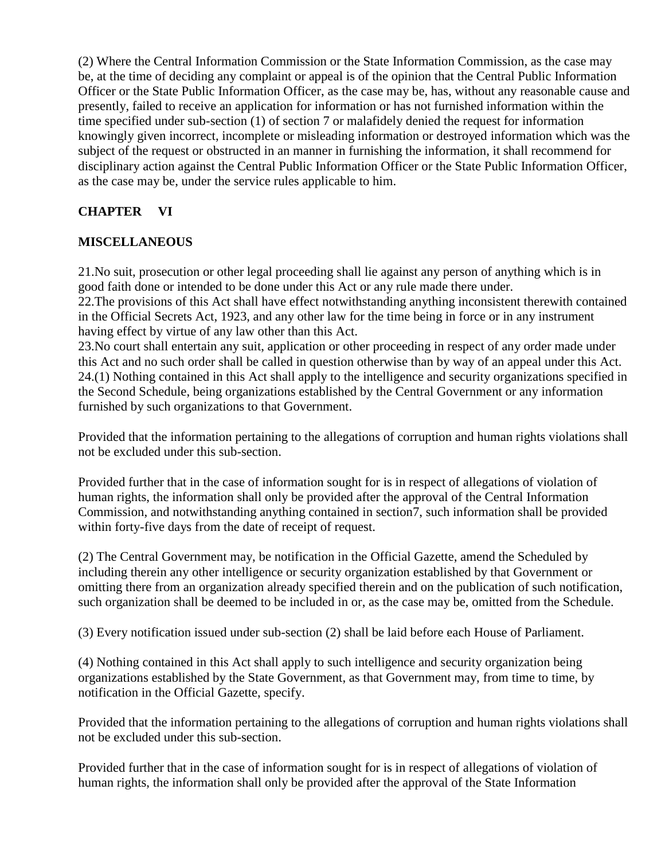(2) Where the Central Information Commission or the State Information Commission, as the case may be, at the time of deciding any complaint or appeal is of the opinion that the Central Public Information Officer or the State Public Information Officer, as the case may be, has, without any reasonable cause and presently, failed to receive an application for information or has not furnished information within the time specified under sub-section (1) of section 7 or malafidely denied the request for information knowingly given incorrect, incomplete or misleading information or destroyed information which was the subject of the request or obstructed in an manner in furnishing the information, it shall recommend for disciplinary action against the Central Public Information Officer or the State Public Information Officer, as the case may be, under the service rules applicable to him.

## **CHAPTER VI**

## **MISCELLANEOUS**

21.No suit, prosecution or other legal proceeding shall lie against any person of anything which is in good faith done or intended to be done under this Act or any rule made there under. 22.The provisions of this Act shall have effect notwithstanding anything inconsistent therewith contained in the Official Secrets Act, 1923, and any other law for the time being in force or in any instrument having effect by virtue of any law other than this Act.

23.No court shall entertain any suit, application or other proceeding in respect of any order made under this Act and no such order shall be called in question otherwise than by way of an appeal under this Act. 24.(1) Nothing contained in this Act shall apply to the intelligence and security organizations specified in the Second Schedule, being organizations established by the Central Government or any information furnished by such organizations to that Government.

Provided that the information pertaining to the allegations of corruption and human rights violations shall not be excluded under this sub-section.

Provided further that in the case of information sought for is in respect of allegations of violation of human rights, the information shall only be provided after the approval of the Central Information Commission, and notwithstanding anything contained in section7, such information shall be provided within forty-five days from the date of receipt of request.

(2) The Central Government may, be notification in the Official Gazette, amend the Scheduled by including therein any other intelligence or security organization established by that Government or omitting there from an organization already specified therein and on the publication of such notification, such organization shall be deemed to be included in or, as the case may be, omitted from the Schedule.

(3) Every notification issued under sub-section (2) shall be laid before each House of Parliament.

(4) Nothing contained in this Act shall apply to such intelligence and security organization being organizations established by the State Government, as that Government may, from time to time, by notification in the Official Gazette, specify.

Provided that the information pertaining to the allegations of corruption and human rights violations shall not be excluded under this sub-section.

Provided further that in the case of information sought for is in respect of allegations of violation of human rights, the information shall only be provided after the approval of the State Information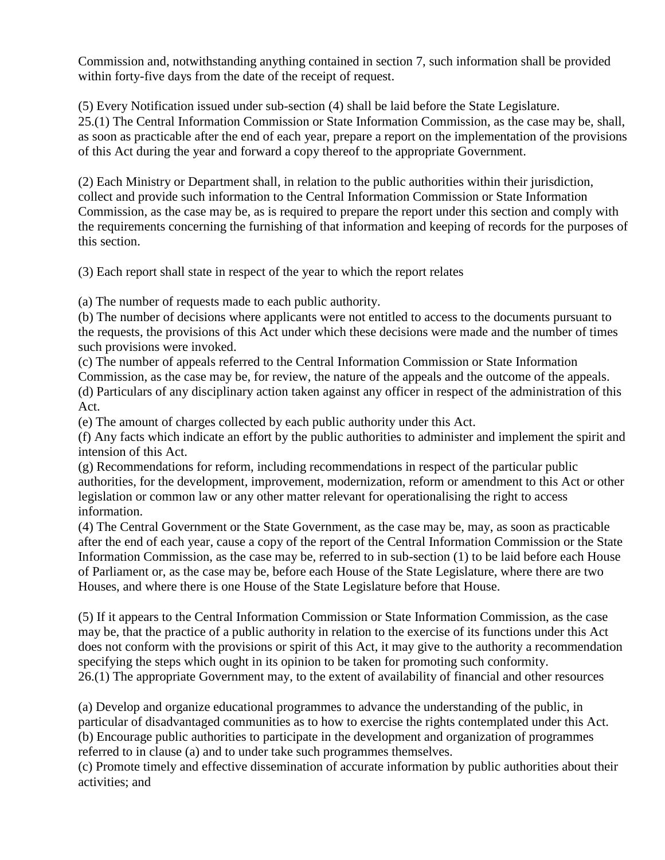Commission and, notwithstanding anything contained in section 7, such information shall be provided within forty-five days from the date of the receipt of request.

(5) Every Notification issued under sub-section (4) shall be laid before the State Legislature.

25.(1) The Central Information Commission or State Information Commission, as the case may be, shall, as soon as practicable after the end of each year, prepare a report on the implementation of the provisions of this Act during the year and forward a copy thereof to the appropriate Government.

(2) Each Ministry or Department shall, in relation to the public authorities within their jurisdiction, collect and provide such information to the Central Information Commission or State Information Commission, as the case may be, as is required to prepare the report under this section and comply with the requirements concerning the furnishing of that information and keeping of records for the purposes of this section.

(3) Each report shall state in respect of the year to which the report relates

(a) The number of requests made to each public authority.

(b) The number of decisions where applicants were not entitled to access to the documents pursuant to the requests, the provisions of this Act under which these decisions were made and the number of times such provisions were invoked.

(c) The number of appeals referred to the Central Information Commission or State Information Commission, as the case may be, for review, the nature of the appeals and the outcome of the appeals. (d) Particulars of any disciplinary action taken against any officer in respect of the administration of this Act.

(e) The amount of charges collected by each public authority under this Act.

(f) Any facts which indicate an effort by the public authorities to administer and implement the spirit and intension of this Act.

(g) Recommendations for reform, including recommendations in respect of the particular public authorities, for the development, improvement, modernization, reform or amendment to this Act or other legislation or common law or any other matter relevant for operationalising the right to access information.

(4) The Central Government or the State Government, as the case may be, may, as soon as practicable after the end of each year, cause a copy of the report of the Central Information Commission or the State Information Commission, as the case may be, referred to in sub-section (1) to be laid before each House of Parliament or, as the case may be, before each House of the State Legislature, where there are two Houses, and where there is one House of the State Legislature before that House.

(5) If it appears to the Central Information Commission or State Information Commission, as the case may be, that the practice of a public authority in relation to the exercise of its functions under this Act does not conform with the provisions or spirit of this Act, it may give to the authority a recommendation specifying the steps which ought in its opinion to be taken for promoting such conformity. 26.(1) The appropriate Government may, to the extent of availability of financial and other resources

(a) Develop and organize educational programmes to advance the understanding of the public, in particular of disadvantaged communities as to how to exercise the rights contemplated under this Act. (b) Encourage public authorities to participate in the development and organization of programmes referred to in clause (a) and to under take such programmes themselves.

(c) Promote timely and effective dissemination of accurate information by public authorities about their activities; and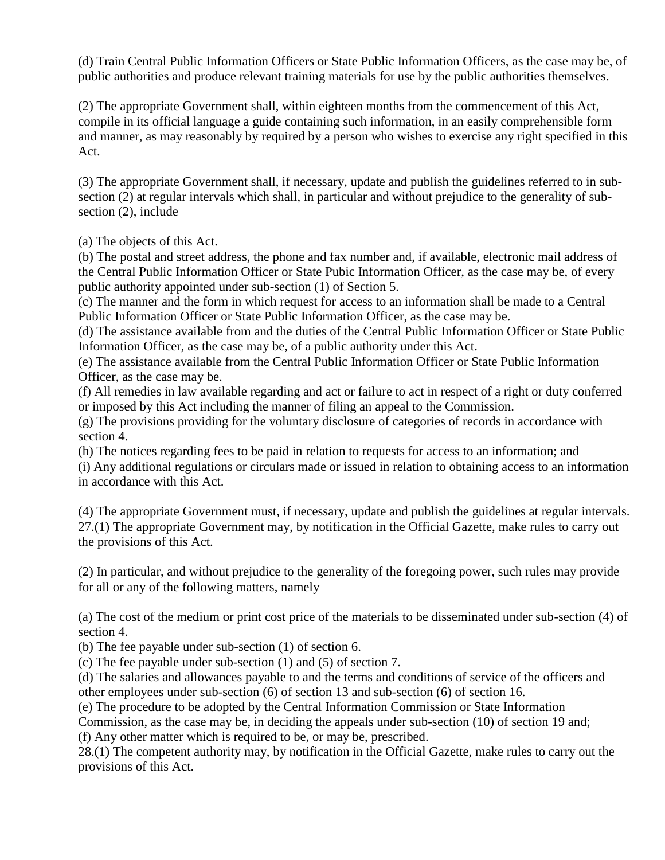(d) Train Central Public Information Officers or State Public Information Officers, as the case may be, of public authorities and produce relevant training materials for use by the public authorities themselves.

(2) The appropriate Government shall, within eighteen months from the commencement of this Act, compile in its official language a guide containing such information, in an easily comprehensible form and manner, as may reasonably by required by a person who wishes to exercise any right specified in this Act.

(3) The appropriate Government shall, if necessary, update and publish the guidelines referred to in subsection (2) at regular intervals which shall, in particular and without prejudice to the generality of subsection (2), include

(a) The objects of this Act.

(b) The postal and street address, the phone and fax number and, if available, electronic mail address of the Central Public Information Officer or State Pubic Information Officer, as the case may be, of every public authority appointed under sub-section (1) of Section 5.

(c) The manner and the form in which request for access to an information shall be made to a Central Public Information Officer or State Public Information Officer, as the case may be.

(d) The assistance available from and the duties of the Central Public Information Officer or State Public Information Officer, as the case may be, of a public authority under this Act.

(e) The assistance available from the Central Public Information Officer or State Public Information Officer, as the case may be.

(f) All remedies in law available regarding and act or failure to act in respect of a right or duty conferred or imposed by this Act including the manner of filing an appeal to the Commission.

(g) The provisions providing for the voluntary disclosure of categories of records in accordance with section 4.

(h) The notices regarding fees to be paid in relation to requests for access to an information; and (i) Any additional regulations or circulars made or issued in relation to obtaining access to an information in accordance with this Act.

(4) The appropriate Government must, if necessary, update and publish the guidelines at regular intervals. 27.(1) The appropriate Government may, by notification in the Official Gazette, make rules to carry out the provisions of this Act.

(2) In particular, and without prejudice to the generality of the foregoing power, such rules may provide for all or any of the following matters, namely –

(a) The cost of the medium or print cost price of the materials to be disseminated under sub-section (4) of section 4.

(b) The fee payable under sub-section (1) of section 6.

(c) The fee payable under sub-section (1) and (5) of section 7.

(d) The salaries and allowances payable to and the terms and conditions of service of the officers and other employees under sub-section (6) of section 13 and sub-section (6) of section 16.

(e) The procedure to be adopted by the Central Information Commission or State Information

Commission, as the case may be, in deciding the appeals under sub-section (10) of section 19 and;

(f) Any other matter which is required to be, or may be, prescribed.

28.(1) The competent authority may, by notification in the Official Gazette, make rules to carry out the provisions of this Act.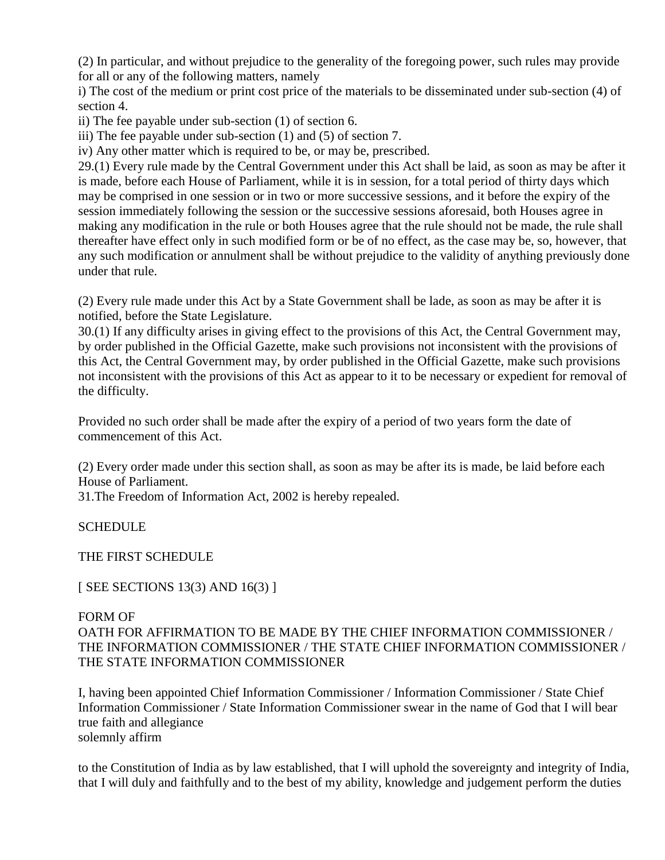(2) In particular, and without prejudice to the generality of the foregoing power, such rules may provide for all or any of the following matters, namely

i) The cost of the medium or print cost price of the materials to be disseminated under sub-section (4) of section 4.

ii) The fee payable under sub-section (1) of section 6.

iii) The fee payable under sub-section (1) and (5) of section 7.

iv) Any other matter which is required to be, or may be, prescribed.

29.(1) Every rule made by the Central Government under this Act shall be laid, as soon as may be after it is made, before each House of Parliament, while it is in session, for a total period of thirty days which may be comprised in one session or in two or more successive sessions, and it before the expiry of the session immediately following the session or the successive sessions aforesaid, both Houses agree in making any modification in the rule or both Houses agree that the rule should not be made, the rule shall thereafter have effect only in such modified form or be of no effect, as the case may be, so, however, that any such modification or annulment shall be without prejudice to the validity of anything previously done under that rule.

(2) Every rule made under this Act by a State Government shall be lade, as soon as may be after it is notified, before the State Legislature.

30.(1) If any difficulty arises in giving effect to the provisions of this Act, the Central Government may, by order published in the Official Gazette, make such provisions not inconsistent with the provisions of this Act, the Central Government may, by order published in the Official Gazette, make such provisions not inconsistent with the provisions of this Act as appear to it to be necessary or expedient for removal of the difficulty.

Provided no such order shall be made after the expiry of a period of two years form the date of commencement of this Act.

(2) Every order made under this section shall, as soon as may be after its is made, be laid before each House of Parliament.

31.The Freedom of Information Act, 2002 is hereby repealed.

**SCHEDULE** 

THE FIRST SCHEDULE

[ SEE SECTIONS 13(3) AND 16(3) ]

#### FORM OF

OATH FOR AFFIRMATION TO BE MADE BY THE CHIEF INFORMATION COMMISSIONER / THE INFORMATION COMMISSIONER / THE STATE CHIEF INFORMATION COMMISSIONER / THE STATE INFORMATION COMMISSIONER

I, having been appointed Chief Information Commissioner / Information Commissioner / State Chief Information Commissioner / State Information Commissioner swear in the name of God that I will bear true faith and allegiance solemnly affirm

to the Constitution of India as by law established, that I will uphold the sovereignty and integrity of India, that I will duly and faithfully and to the best of my ability, knowledge and judgement perform the duties